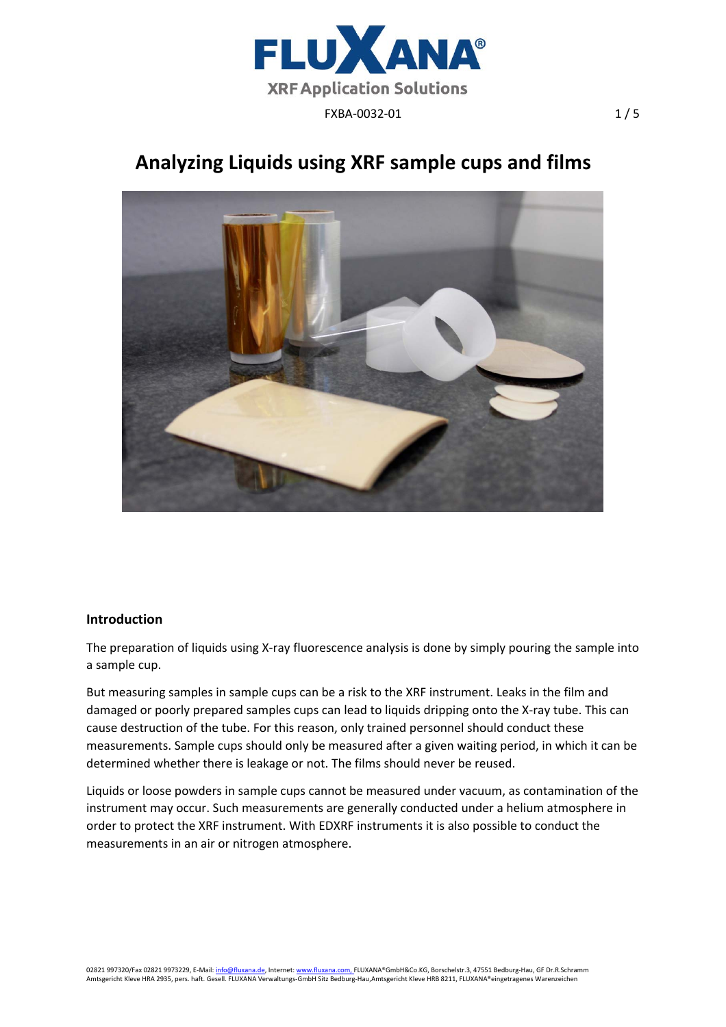



#### **Introduction**

The preparation of liquids using X-ray fluorescence analysis is done by simply pouring the sample into a sample cup.

But measuring samples in sample cups can be a risk to the XRF instrument. Leaks in the film and damaged or poorly prepared samples cups can lead to liquids dripping onto the X‐ray tube. This can cause destruction of the tube. For this reason, only trained personnel should conduct these measurements. Sample cups should only be measured after a given waiting period, in which it can be determined whether there is leakage or not. The films should never be reused.

Liquids or loose powders in sample cups cannot be measured under vacuum, as contamination of the instrument may occur. Such measurements are generally conducted under a helium atmosphere in order to protect the XRF instrument. With EDXRF instruments it is also possible to conduct the measurements in an air or nitrogen atmosphere.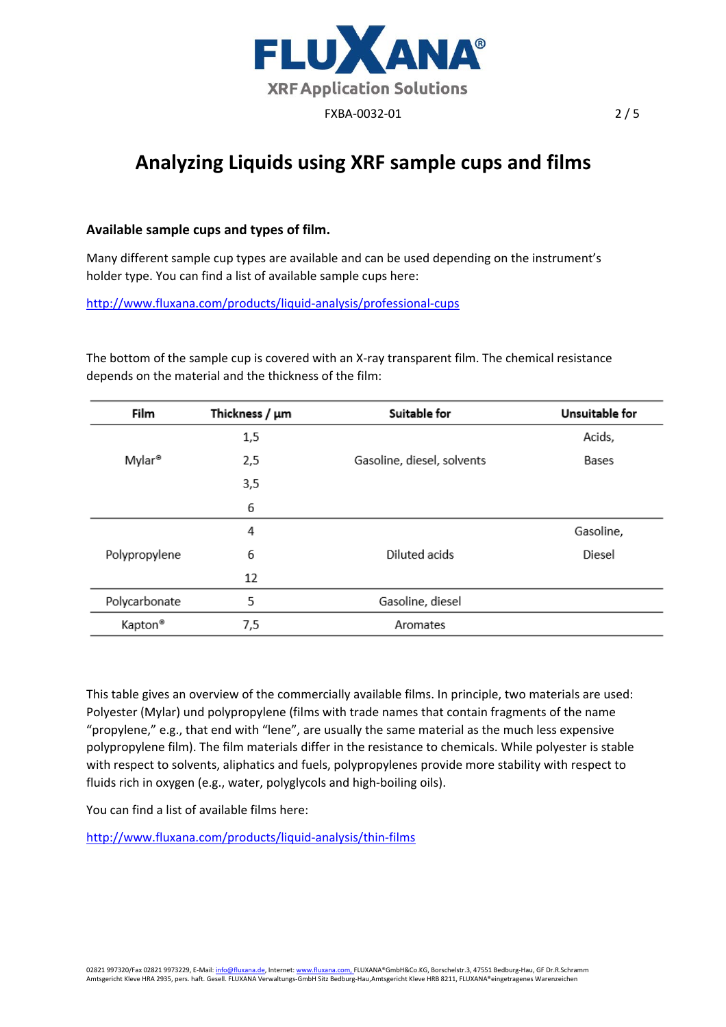

### **Available sample cups and types of film.**

Many different sample cup types are available and can be used depending on the instrument's holder type. You can find a list of available sample cups here:

http://www.fluxana.com/products/liquid‐analysis/professional‐cups

The bottom of the sample cup is covered with an X-ray transparent film. The chemical resistance depends on the material and the thickness of the film:

| Film               | Thickness $/ \mu m$ | Suitable for               | Unsuitable for |
|--------------------|---------------------|----------------------------|----------------|
|                    | 1,5                 |                            | Acids,         |
| Mylar <sup>®</sup> | 2,5                 | Gasoline, diesel, solvents | Bases          |
|                    | 3,5                 |                            |                |
|                    | 6                   |                            |                |
| Polypropylene      | 4                   |                            | Gasoline,      |
|                    | 6                   | Diluted acids              | Diesel         |
|                    | 12                  |                            |                |
| Polycarbonate      | 5                   | Gasoline, diesel           |                |
| Kapton®            | 7,5                 | Aromates                   |                |

This table gives an overview of the commercially available films. In principle, two materials are used: Polyester (Mylar) und polypropylene (films with trade names that contain fragments of the name "propylene," e.g., that end with "lene", are usually the same material as the much less expensive polypropylene film). The film materials differ in the resistance to chemicals. While polyester is stable with respect to solvents, aliphatics and fuels, polypropylenes provide more stability with respect to fluids rich in oxygen (e.g., water, polyglycols and high‐boiling oils).

You can find a list of available films here:

http://www.fluxana.com/products/liquid‐analysis/thin‐films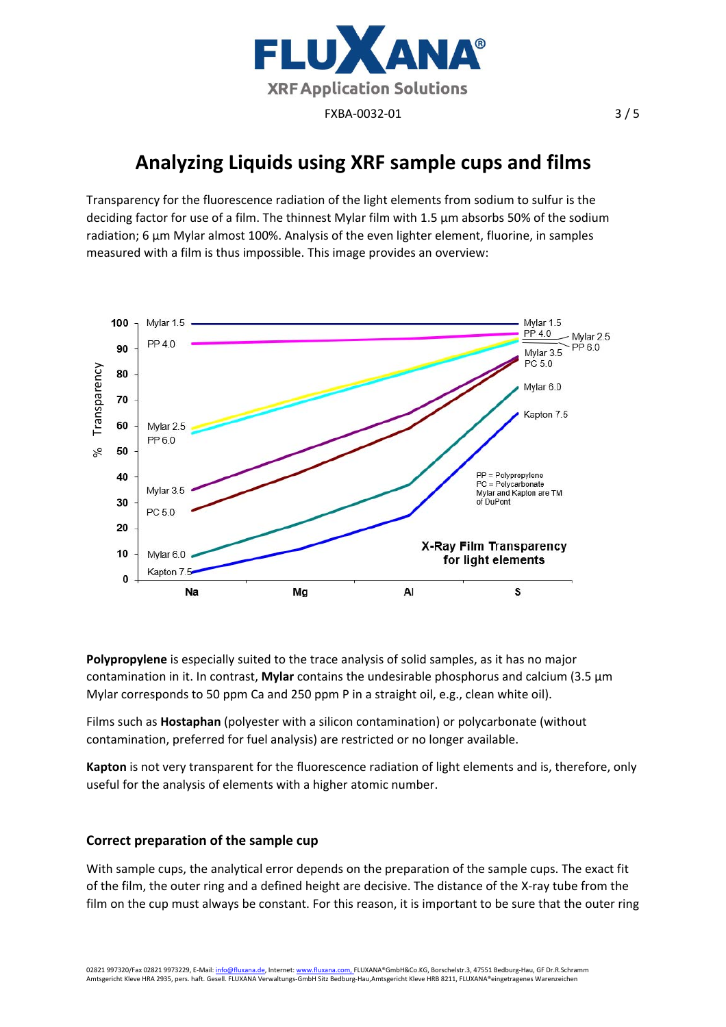

Transparency for the fluorescence radiation of the light elements from sodium to sulfur is the deciding factor for use of a film. The thinnest Mylar film with 1.5 µm absorbs 50% of the sodium radiation; 6 μm Mylar almost 100%. Analysis of the even lighter element, fluorine, in samples measured with a film is thus impossible. This image provides an overview:



**Polypropylene** is especially suited to the trace analysis of solid samples, as it has no major contamination in it. In contrast, **Mylar** contains the undesirable phosphorus and calcium (3.5 µm Mylar corresponds to 50 ppm Ca and 250 ppm P in a straight oil, e.g., clean white oil).

Films such as **Hostaphan** (polyester with a silicon contamination) or polycarbonate (without contamination, preferred for fuel analysis) are restricted or no longer available.

**Kapton** is not very transparent for the fluorescence radiation of light elements and is, therefore, only useful for the analysis of elements with a higher atomic number.

#### **Correct preparation of the sample cup**

With sample cups, the analytical error depends on the preparation of the sample cups. The exact fit of the film, the outer ring and a defined height are decisive. The distance of the X‐ray tube from the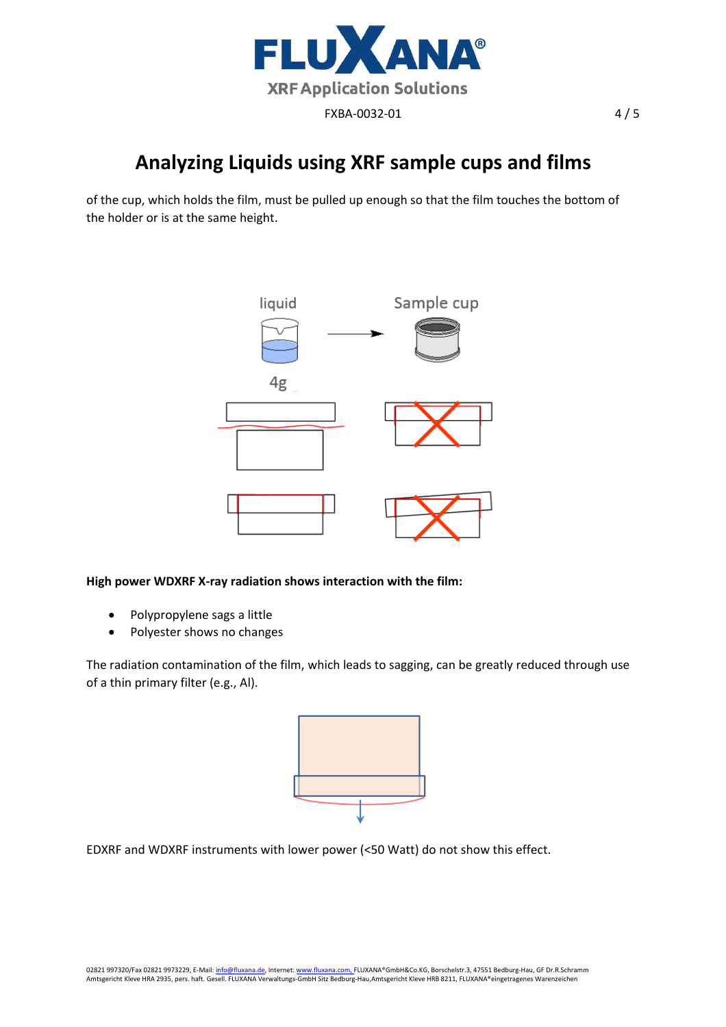

of the cup, which holds the film, must be pulled up enough so that the film touches the bottom of the holder or is at the same height.



**High power WDXRF X‐ray radiation shows interaction with the film:** 

- Polypropylene sags a little
- Polyester shows no changes

The radiation contamination of the film, which leads to sagging, can be greatly reduced through use of a thin primary filter (e.g., Al).



EDXRF and WDXRF instruments with lower power (<50 Watt) do not show this effect.